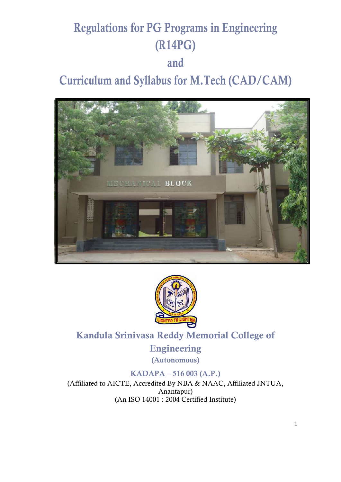# **Regulations for PG Programs in Engineering (R14PG) and Curriculum and Syllabus for M.Tech (CAD/CAM)**





### **Kandula Srinivasa Reddy Memorial College of**

**Engineering (Autonomous)**

### **KADAPA – 516 003 (A.P.)**

(Affiliated to AICTE, Accredited By NBA & NAAC, Affiliated JNTUA, Anantapur) (An ISO 14001 : 2004 Certified Institute)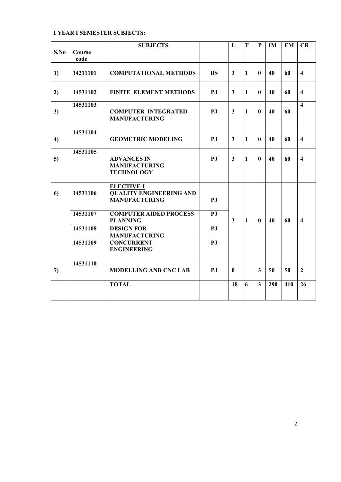#### **I YEAR I SEMESTER SUBJECTS:**

|               |                | <b>SUBJECTS</b>                                                             |           | L                       | T            | P                       | IM  | <b>EM</b> | <b>CR</b>               |
|---------------|----------------|-----------------------------------------------------------------------------|-----------|-------------------------|--------------|-------------------------|-----|-----------|-------------------------|
| S.No          | Course<br>code |                                                                             |           |                         |              |                         |     |           |                         |
| 1)            | 14211101       | <b>COMPUTATIONAL METHODS</b>                                                | <b>BS</b> | 3                       | $\mathbf{1}$ | $\mathbf{0}$            | 40  | 60        | $\overline{\mathbf{4}}$ |
| 2)            | 14531102       | <b>FINITE ELEMENT METHODS</b>                                               | PJ        | $\mathbf{3}$            | $\mathbf{1}$ | 0                       | 40  | 60        | $\overline{\mathbf{4}}$ |
| 3)            | 14531103       | <b>COMPUTER INTEGRATED</b><br><b>MANUFACTURING</b>                          | PJ        | $\mathbf{3}$            | $\mathbf{1}$ | $\mathbf{0}$            | 40  | 60        | $\overline{\mathbf{4}}$ |
| 4)            | 14531104       | <b>GEOMETRIC MODELING</b>                                                   | PJ        | 3                       | $\mathbf{1}$ | $\mathbf{0}$            | 40  | 60        | $\overline{\mathbf{4}}$ |
| 5)            | 14531105       | <b>ADVANCES IN</b><br><b>MANUFACTURING</b><br><b>TECHNOLOGY</b>             | PJ        | $\overline{\mathbf{3}}$ | $\mathbf{1}$ | 0                       | 40  | 60        | $\overline{\mathbf{4}}$ |
| 6)            | 14531106       | <b>ELECTIVE-I</b><br><b>QUALITY ENGINEERING AND</b><br><b>MANUFACTURING</b> | PJ        |                         |              |                         |     |           |                         |
|               | 14531107       | <b>COMPUTER AIDED PROCESS</b><br><b>PLANNING</b>                            | PJ        | $\overline{\mathbf{3}}$ | $\mathbf{1}$ | $\mathbf{0}$            | 40  | 60        | $\overline{\mathbf{4}}$ |
|               | 14531108       | <b>DESIGN FOR</b><br><b>MANUFACTURING</b>                                   | PJ        |                         |              |                         |     |           |                         |
|               | 14531109       | <b>CONCURRENT</b><br><b>ENGINEERING</b>                                     | PJ        |                         |              |                         |     |           |                         |
| $\mathcal{L}$ | 14531110       | <b>MODELLING AND CNC LAB</b>                                                | PJ        | $\mathbf{0}$            |              | $\overline{\mathbf{3}}$ | 50  | 50        | $\overline{2}$          |
|               |                | <b>TOTAL</b>                                                                |           | 18                      | 6            | 3                       | 290 | 410       | 26                      |
|               |                |                                                                             |           |                         |              |                         |     |           |                         |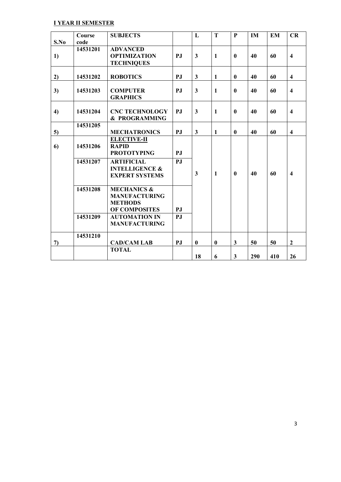#### **I YEAR II SEMESTER**

| S.No | Course<br>code | <b>SUBJECTS</b>                                                                   |     | L            | T            | $\mathbf{P}$ | IM  | <b>EM</b> | CR                      |
|------|----------------|-----------------------------------------------------------------------------------|-----|--------------|--------------|--------------|-----|-----------|-------------------------|
|      | 14531201       | <b>ADVANCED</b>                                                                   |     |              |              |              |     |           |                         |
| 1)   |                | <b>OPTIMIZATION</b>                                                               | PJ  | $\mathbf{3}$ | $\mathbf{1}$ | $\mathbf{0}$ | 40  | 60        | $\overline{\mathbf{4}}$ |
|      |                | <b>TECHNIQUES</b>                                                                 |     |              |              |              |     |           |                         |
| 2)   | 14531202       | <b>ROBOTICS</b>                                                                   | PJ  | 3            | $\mathbf{1}$ | $\mathbf{0}$ | 40  | 60        | $\overline{\mathbf{4}}$ |
| 3)   | 14531203       | <b>COMPUTER</b><br><b>GRAPHICS</b>                                                | PJ  | $\mathbf{3}$ | $\mathbf{1}$ | $\bf{0}$     | 40  | 60        | $\overline{\mathbf{4}}$ |
| 4)   | 14531204       | <b>CNC TECHNOLOGY</b><br>& PROGRAMMING                                            | PJ  | $\mathbf{3}$ | $\mathbf{1}$ | $\bf{0}$     | 40  | 60        | $\overline{\mathbf{4}}$ |
|      | 14531205       |                                                                                   |     |              |              |              |     |           |                         |
| 5)   |                | <b>MECHATRONICS</b>                                                               | P.J | 3            | 1            | $\bf{0}$     | 40  | 60        | $\overline{\mathbf{4}}$ |
| 6)   | 14531206       | <b>ELECTIVE-II</b><br><b>RAPID</b><br><b>PROTOTYPING</b>                          | P.J |              |              |              |     |           |                         |
|      | 14531207       | <b>ARTIFICIAL</b><br><b>INTELLIGENCE &amp;</b><br><b>EXPERT SYSTEMS</b>           | PJ  | $\mathbf{3}$ | $\mathbf{1}$ | $\bf{0}$     | 40  | 60        | $\overline{\mathbf{4}}$ |
|      | 14531208       | <b>MECHANICS &amp;</b><br><b>MANUFACTURING</b><br><b>METHODS</b><br>OF COMPOSITES | PJ  |              |              |              |     |           |                         |
|      | 14531209       | <b>AUTOMATION IN</b><br><b>MANUFACTURING</b>                                      | PJ  |              |              |              |     |           |                         |
| 7)   | 14531210       | <b>CAD/CAM LAB</b>                                                                | PJ  | $\bf{0}$     | $\bf{0}$     | $\mathbf{3}$ | 50  | 50        | $\mathbf{2}$            |
|      |                | <b>TOTAL</b>                                                                      |     | 18           | 6            | $\mathbf{3}$ | 290 | 410       | 26                      |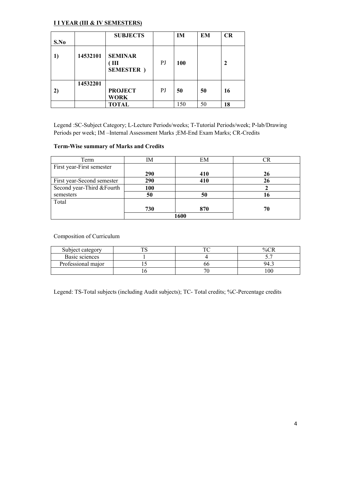#### **I I YEAR (III & IV SEMESTERS)**

|      |          | <b>SUBJECTS</b>                           |    | IM  | EM | CR           |
|------|----------|-------------------------------------------|----|-----|----|--------------|
| S.No |          |                                           |    |     |    |              |
| 1)   | 14532101 | <b>SEMINAR</b><br>ΊШ<br><b>SEMESTER</b> ) | PJ | 100 |    | $\mathbf{2}$ |
| 2)   | 14532201 | <b>PROJECT</b><br><b>WORK</b>             | PJ | 50  | 50 | 16           |
|      |          | <b>TOTAL</b>                              |    | 150 | 50 | 18           |

Legend :SC-Subject Category; L-Lecture Periods/weeks; T-Tutorial Periods/week; P-lab/Drawing Periods per week; IM –Internal Assessment Marks ;EM-End Exam Marks; CR-Credits

#### **Term-Wise summary of Marks and Credits**

| Term                       | ΙM         | EM  |    |
|----------------------------|------------|-----|----|
| First year-First semester  |            |     |    |
|                            | <b>290</b> | 410 | 26 |
| First year-Second semester | 290        | 410 | 26 |
| Second year-Third & Fourth | 100        |     |    |
| semesters                  | 50         | 50  | 16 |
| Total                      |            |     |    |
|                            | 730        | 870 | 70 |
|                            | 1600       |     |    |

#### Composition of Curriculum

| Subject category   |   |    | $\%$ |
|--------------------|---|----|------|
| Basic sciences     |   |    | ັ.   |
| Professional major |   | oc | 94   |
|                    | ν |    | 00   |

Legend: TS-Total subjects (including Audit subjects); TC- Total credits; %C-Percentage credits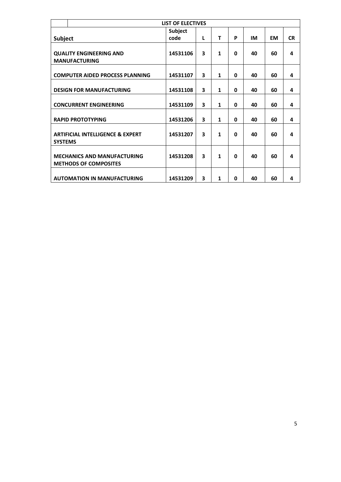|                                                                    | <b>LIST OF ELECTIVES</b> |   |              |   |    |    |           |  |  |
|--------------------------------------------------------------------|--------------------------|---|--------------|---|----|----|-----------|--|--|
|                                                                    | <b>Subject</b>           |   |              |   |    |    |           |  |  |
| <b>Subject</b>                                                     | code                     | L | T            | P | IM | EM | <b>CR</b> |  |  |
|                                                                    |                          |   |              |   |    |    |           |  |  |
| <b>QUALITY ENGINEERING AND</b>                                     | 14531106                 | 3 | $\mathbf{1}$ | 0 | 40 | 60 | 4         |  |  |
| <b>MANUFACTURING</b>                                               |                          |   |              |   |    |    |           |  |  |
| <b>COMPUTER AIDED PROCESS PLANNING</b>                             | 14531107                 | 3 | 1            | 0 | 40 | 60 | 4         |  |  |
|                                                                    |                          | 3 | $\mathbf{1}$ | 0 | 40 | 60 |           |  |  |
| <b>DESIGN FOR MANUFACTURING</b>                                    | 14531108                 |   |              |   |    |    | 4         |  |  |
| <b>CONCURRENT ENGINEERING</b>                                      | 14531109                 | 3 | $\mathbf{1}$ | 0 | 40 | 60 | 4         |  |  |
| <b>RAPID PROTOTYPING</b>                                           | 14531206                 | 3 | $\mathbf{1}$ | 0 | 40 | 60 | 4         |  |  |
| <b>ARTIFICIAL INTELLIGENCE &amp; EXPERT</b><br><b>SYSTEMS</b>      | 14531207                 | 3 | 1            | 0 | 40 | 60 | 4         |  |  |
| <b>MECHANICS AND MANUFACTURING</b><br><b>METHODS OF COMPOSITES</b> | 14531208                 | 3 | 1            | 0 | 40 | 60 | 4         |  |  |
| <b>AUTOMATION IN MANUFACTURING</b>                                 | 14531209                 | 3 | 1            | 0 | 40 | 60 | 4         |  |  |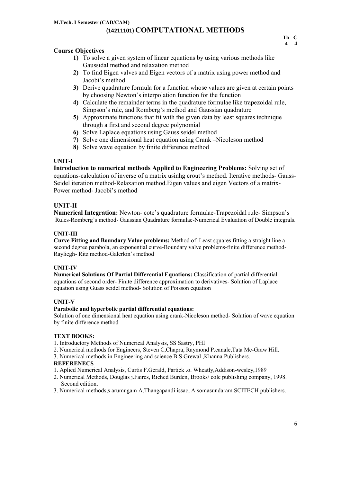- **1)** To solve a given system of linear equations by using various methods like Gaussidal method and relaxation method
- **2)** To find Eigen valves and Eigen vectors of a matrix using power method and Jacobi's method
- **3)** Derive quadrature formula for a function whose values are given at certain points by choosing Newton's interpolation function for the function
- **4)** Calculate the remainder terms in the quadrature formulae like trapezoidal rule, Simpson's rule, and Romberg's method and Gaussian quadrature
- **5)** Approximate functions that fit with the given data by least squares technique through a first and second degree polynomial
- **6)** Solve Laplace equations using Gauss seidel method
- **7)** Solve one dimensional heat equation using Crank –Nicoleson method
- **8)** Solve wave equation by finite difference method

#### **UNIT-I**

**Introduction to numerical methods Applied to Engineering Problems:** Solving set of equations-calculation of inverse of a matrix usinhg crout's method. Iterative methods- Gauss-Seidel iteration method-Relaxation method.Eigen values and eigen Vectors of a matrix-Power method- Jacobi's method

#### **UNIT-II**

**Numerical Integration:** Newton- cote's quadrature formulae-Trapezoidal rule- Simpson's Rules-Romberg's method- Gaussian Quadrature formulae-Numerical Evaluation of Double integrals.

#### **UNIT-III**

**Curve Fitting and Boundary Value problems:** Method of Least squares fitting a straight line a second degree parabola, an exponential curve-Boundary valve problems-finite difference method-Rayliegh- Ritz method-Galerkin's method

#### **UNIT-IV**

**Numerical Solutions Of Partial Differential Equations:** Classification of partial differential equations of second order- Finite difference approximation to derivatives- Solution of Laplace equation using Guass seidel method- Solution of Poisson equation

#### **UNIT-V**

#### **Parabolic and hyperbolic partial differential equations:**

Solution of one dimensional heat equation using crank-Nicoleson method- Solution of wave equation by finite difference method

#### **TEXT BOOKS:**

- 1. Introductory Methods of Numerical Analysis, SS Sastry, PHI
- 2. Numerical methods for Engineers, Steven C,Chapra, Raymond P.canale,Tata Mc-Graw Hill.
- 3. Numerical methods in Engineering and science B.S Grewal ,Khanna Publishers.

#### **REFERENECS**

- 1. Aplied Numerical Analysis, Curtis F.Gerald, Partick .o. Wheatly,Addison-wesley,1989
- 2. Numerical Methods, Douglas j.Faires, Riched Burden, Brooks/ cole publishing company, 1998. Second edition.
- 3. Numerical methods,s arumugam A.Thangapandi issac, A somasundaram SCITECH publishers.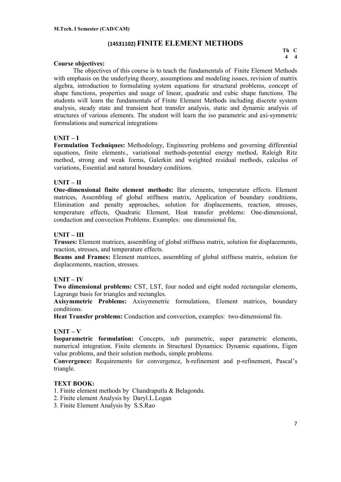#### **(14531102) FINITE ELEMENT METHODS**

**Th C 4 4** 

#### **Course objectives:**

The objectives of this course is to teach the fundamentals of Finite Element Methods with emphasis on the underlying theory, assumptions and modeling issues, revision of matrix algebra, introduction to formulating system equations for structural problems, concept of shape functions, properties and usage of linear, quadratic and cubic shape functions. The students will learn the fundamentals of Finite Element Methods including discrete system analysis, steady state and transient heat transfer analysis, static and dynamic analysis of structures of various elements. The student will learn the iso parametric and axi-symmetric formulations and numerical integrations

#### **UNIT – I**

**Formulation Techniques:** Methodology, Engineering problems and governing differential equations, finite elements., variational methods-potential energy method, Raleigh Ritz method, strong and weak forms, Galerkin and weighted residual methods, calculus of variations, Essential and natural boundary conditions.

#### **UNIT – II**

**One-dimensional finite element methods:** Bar elements, temperature effects. Element matrices, Assembling of global stiffness matrix, Application of boundary conditions, Elimination and penalty approaches, solution for displacements, reaction, stresses, temperature effects, Quadratic Element, Heat transfer problems: One-dimensional, conduction and convection Problems. Examples: one dimensional fin,

#### **UNIT – III**

**Trusses:** Element matrices, assembling of global stiffness matrix, solution for displacements, reaction, stresses, and temperature effects.

**Beams and Frames:** Element matrices, assembling of global stiffness matrix, solution for displacements, reaction, stresses.

#### **UNIT – IV**

**Two dimensional problems:** CST, LST, four noded and eight noded rectangular elements, Lagrange basis for triangles and rectangles.

**Axisymmetric Problems:** Axisymmetric formulations, Element matrices, boundary conditions.

**Heat Transfer problems:** Conduction and convection, examples: two-dimensional fin.

#### **UNIT – V**

**Isoparametric formulation:** Concepts, sub parametric, super parametric elements, numerical integration. Finite elements in Structural Dynamics: Dynamic equations, Eigen value problems, and their solution methods, simple problems.

**Convergence:** Requirements for convergence, h-refinement and p-refinement, Pascal's triangle.

#### **TEXT BOOK:**

- 1. Finite element methods by Chandraputla & Belagondu.
- 2. Finite element Analysis by Daryl.L.Logan
- 3. Finite Element Analysis by S.S.Rao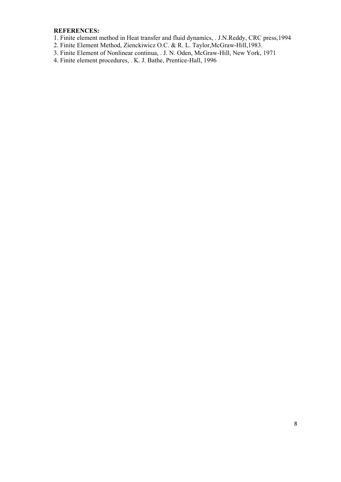#### **REFERENCES:**

- 1. Finite element method in Heat transfer and fluid dynamics, . J.N.Reddy, CRC press,1994
- 2. Finite Element Method, Zienckiwicz O.C. & R. L. Taylor,McGraw-Hill,1983.
- 3. Finite Element of Nonlinear continua, . J. N. Oden, McGraw-Hill, New York, 1971
- 4. Finite element procedures, . K. J. Bathe, Prentice-Hall, 1996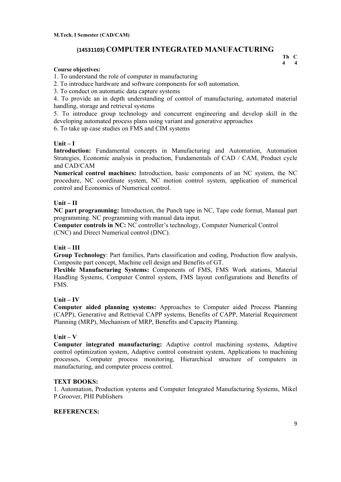#### **(14531103) COMPUTER INTEGRATED MANUFACTURING**

#### **Course objectives:**

1. To understand the role of computer in manufacturing

2. To introduce hardware and software components for soft automation.

3. To conduct on automatic data capture systems

4. To provide an in depth understanding of control of manufacturing, automated material handling, storage and retrieval systems

5. To introduce group technology and concurrent engineering and develop skill in the developing automated process plans using variant and generative approaches

6. To take up case studies on FMS and CIM systems

#### **Unit – I**

**Introduction:** Fundamental concepts in Manufacturing and Automation, Automation Strategies, Economic analysis in production, Fundamentals of CAD / CAM, Product cycle and CAD/CAM

**Numerical control machines:** Introduction, basic components of an NC system, the NC procedure, NC coordinate system, NC motion control system, application of numerical control and Economics of Numerical control.

#### **Unit – II**

**NC part programming:** Introduction, the Punch tape in NC, Tape code format, Manual part programming. NC programming with manual data input.

**Computer controls in NC:** NC controller's technology, Computer Numerical Control (CNC) and Direct Numerical control (DNC).

#### **Unit – III**

**Group Technology**: Part families, Parts classification and coding, Production flow analysis, Composite part concept, Machine cell design and Benefits of GT.

**Flexible Manufacturing Systems:** Components of FMS, FMS Work stations, Material Handling Systems, Computer Control system, FMS layout configurations and Benefits of FMS.

#### **Unit – IV**

**Computer aided planning systems:** Approaches to Computer aided Process Planning (CAPP), Generative and Retrieval CAPP systems, Benefits of CAPP, Material Requirement Planning (MRP), Mechanism of MRP, Benefits and Capacity Planning.

#### **Unit – V**

**Computer integrated manufacturing:** Adaptive control machining systems, Adaptive control optimization system, Adaptive control constraint system, Applications to machining processes, Computer process monitoring, Hierarchical structure of computers in manufacturing, and computer process control.

#### **TEXT BOOKS:**

1. Automation, Production systems and Computer Integrated Manufacturing Systems, Mikel P.Groover, PHI Publishers

#### **REFERENCES:**

**Th C 4 4**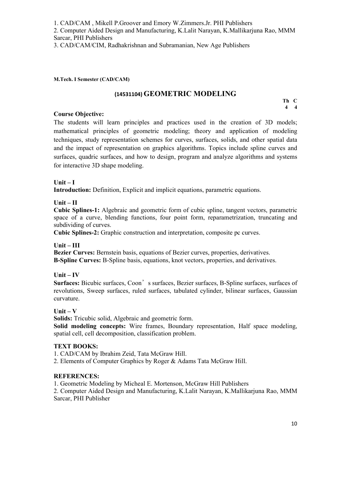1. CAD/CAM , Mikell P.Groover and Emory W.Zimmers.Jr. PHI Publishers

2. Computer Aided Design and Manufacturing, K.Lalit Narayan, K.Mallikarjuna Rao, MMM Sarcar, PHI Publishers

3. CAD/CAM/CIM, Radhakrishnan and Subramanian, New Age Publishers

#### **M.Tech. I Semester (CAD/CAM)**

## **(14531104) GEOMETRIC MODELING Th C**

 **4 4** 

#### **Course Objective:**

The students will learn principles and practices used in the creation of 3D models; mathematical principles of geometric modeling; theory and application of modeling techniques, study representation schemes for curves, surfaces, solids, and other spatial data and the impact of representation on graphics algorithms. Topics include spline curves and surfaces, quadric surfaces, and how to design, program and analyze algorithms and systems for interactive 3D shape modeling.

#### **Unit – I**

**Introduction:** Definition, Explicit and implicit equations, parametric equations.

**Unit – II** 

**Cubic Splines-1:** Algebraic and geometric form of cubic spline, tangent vectors, parametric space of a curve, blending functions, four point form, reparametrization, truncating and subdividing of curves.

**Cubic Splines-2:** Graphic construction and interpretation, composite pc curves.

#### **Unit – III**

**Bezier Curves:** Bernstein basis, equations of Bezier curves, properties, derivatives. **B-Spline Curves:** B-Spline basis, equations, knot vectors, properties, and derivatives.

**Unit – IV** 

**Surfaces:** Bicubic surfaces, Coon's surfaces, Bezier surfaces, B-Spline surfaces, surfaces of revolutions, Sweep surfaces, ruled surfaces, tabulated cylinder, bilinear surfaces, Gaussian curvature.

**Unit – V**

**Solids:** Tricubic solid, Algebraic and geometric form.

**Solid modeling concepts:** Wire frames, Boundary representation, Half space modeling, spatial cell, cell decomposition, classification problem.

#### **TEXT BOOKS:**

1. CAD/CAM by Ibrahim Zeid, Tata McGraw Hill.

2. Elements of Computer Graphics by Roger & Adams Tata McGraw Hill.

#### **REFERENCES:**

1. Geometric Modeling by Micheal E. Mortenson, McGraw Hill Publishers

2. Computer Aided Design and Manufacturing, K.Lalit Narayan, K.Mallikarjuna Rao, MMM Sarcar, PHI Publisher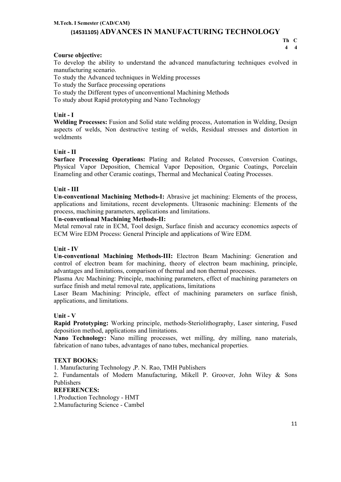#### **M.Tech. I Semester (CAD/CAM) (14531105) ADVANCES IN MANUFACTURING TECHNOLOGY**

#### **Course objective:**

To develop the ability to understand the advanced manufacturing techniques evolved in manufacturing scenario.

To study the Advanced techniques in Welding processes

To study the Surface processing operations

To study the Different types of unconventional Machining Methods

To study about Rapid prototyping and Nano Technology

#### **Unit - I**

**Welding Processes:** Fusion and Solid state welding process, Automation in Welding, Design aspects of welds, Non destructive testing of welds, Residual stresses and distortion in weldments

#### **Unit - II**

**Surface Processing Operations:** Plating and Related Processes, Conversion Coatings, Physical Vapor Deposition, Chemical Vapor Deposition, Organic Coatings, Porcelain Enameling and other Ceramic coatings, Thermal and Mechanical Coating Processes.

#### **Unit - III**

**Un-conventional Machining Methods-I:** Abrasive jet machining: Elements of the process, applications and limitations, recent developments. Ultrasonic machining: Elements of the process, machining parameters, applications and limitations.

#### **Un-conventional Machining Methods-II:**

Metal removal rate in ECM, Tool design, Surface finish and accuracy economics aspects of ECM Wire EDM Process: General Principle and applications of Wire EDM.

#### **Unit - IV**

**Un-conventional Machining Methods-III:** Electron Beam Machining: Generation and control of electron beam for machining, theory of electron beam machining, principle, advantages and limitations, comparison of thermal and non thermal processes.

Plasma Arc Machining: Principle, machining parameters, effect of machining parameters on surface finish and metal removal rate, applications, limitations

Laser Beam Machining: Principle, effect of machining parameters on surface finish, applications, and limitations.

#### **Unit - V**

**Rapid Prototyping:** Working principle, methods-Steriolithography, Laser sintering, Fused deposition method, applications and limitations.

**Nano Technology:** Nano milling processes, wet milling, dry milling, nano materials, fabrication of nano tubes, advantages of nano tubes, mechanical properties.

#### **TEXT BOOKS:**

1. Manufacturing Technology ,P. N. Rao, TMH Publishers

2. Fundamentals of Modern Manufacturing, Mikell P. Groover, John Wiley & Sons Publishers

#### **REFERENCES:**

1.Production Technology - HMT

2.Manufacturing Science - Cambel

**Th C 4 4**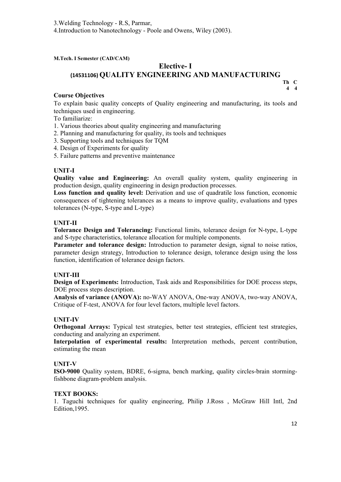3.Welding Technology - R.S, Parmar,

4.Introduction to Nanotechnology - Poole and Owens, Wiley (2003).

**M.Tech. I Semester (CAD/CAM)** 

#### **Elective- I (14531106) QUALITY ENGINEERING AND MANUFACTURING Th C**

#### **Course Objectives**

To explain basic quality concepts of Quality engineering and manufacturing, its tools and techniques used in engineering.

To familiarize:

- 1. Various theories about quality engineering and manufacturing
- 2. Planning and manufacturing for quality, its tools and techniques
- 3. Supporting tools and techniques for TQM
- 4. Design of Experiments for quality
- 5. Failure patterns and preventive maintenance

#### **UNIT-I**

**Quality value and Engineering:** An overall quality system, quality engineering in production design, quality engineering in design production processes.

**Loss function and quality level:** Derivation and use of quadratile loss function, economic consequences of tightening tolerances as a means to improve quality, evaluations and types tolerances (N-type, S-type and L-type)

#### **UNIT-II**

**Tolerance Design and Tolerancing:** Functional limits, tolerance design for N-type, L-type and S-type characteristics, tolerance allocation for multiple components.

Parameter and tolerance design: Introduction to parameter design, signal to noise ratios, parameter design strategy, Introduction to tolerance design, tolerance design using the loss function, identification of tolerance design factors.

#### **UNIT-III**

**Design of Experiments:** Introduction, Task aids and Responsibilities for DOE process steps, DOE process steps description.

**Analysis of variance (ANOVA):** no-WAY ANOVA, One-way ANOVA, two-way ANOVA, Critique of F-test, ANOVA for four level factors, multiple level factors.

#### **UNIT-IV**

**Orthogonal Arrays:** Typical test strategies, better test strategies, efficient test strategies, conducting and analyzing an experiment.

**Interpolation of experimental results:** Interpretation methods, percent contribution, estimating the mean

#### **UNIT-V**

**ISO-9000** Quality system, BDRE, 6-sigma, bench marking, quality circles-brain stormingfishbone diagram-problem analysis.

#### **TEXT BOOKS:**

1. Taguchi techniques for quality engineering, Philip J.Ross , McGraw Hill Intl, 2nd Edition,1995.

**4 4**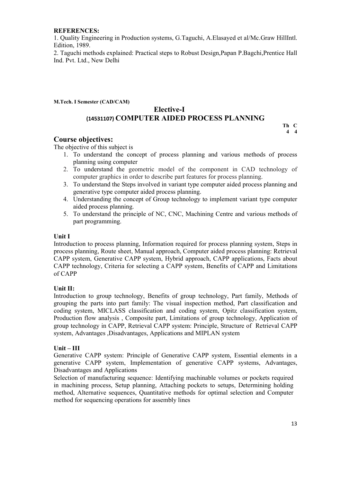#### **REFERENCES:**

1. Quality Engineering in Production systems, G.Taguchi, A.Elasayed et al/Mc.Graw HillIntl. Edition, 1989.

2. Taguchi methods explained: Practical steps to Robust Design,Papan P.Bagchi,Prentice Hall Ind. Pvt. Ltd., New Delhi

#### **M.Tech. I Semester (CAD/CAM)**

#### **Elective-I (14531107) COMPUTER AIDED PROCESS PLANNING**

#### **Course objectives:**

The objective of this subject is

- 1. To understand the concept of process planning and various methods of process planning using computer
- 2. To understand the geometric model of the component in CAD technology of computer graphics in order to describe part features for process planning.
- 3. To understand the Steps involved in variant type computer aided process planning and generative type computer aided process planning.
- 4. Understanding the concept of Group technology to implement variant type computer aided process planning.
- 5. To understand the principle of NC, CNC, Machining Centre and various methods of part programming.

#### **Unit I**

Introduction to process planning, Information required for process planning system, Steps in process planning, Route sheet, Manual approach, Computer aided process planning: Retrieval CAPP system, Generative CAPP system, Hybrid approach, CAPP applications, Facts about CAPP technology, Criteria for selecting a CAPP system, Benefits of CAPP and Limitations of CAPP

#### **Unit II:**

Introduction to group technology, Benefits of group technology, Part family, Methods of grouping the parts into part family: The visual inspection method, Part classification and coding system, MICLASS classification and coding system, Opitz classification system, Production flow analysis , Composite part, Limitations of group technology, Application of group technology in CAPP, Retrieval CAPP system: Principle, Structure of Retrieval CAPP system, Advantages ,Disadvantages, Applications and MIPLAN system

#### **Unit – III**

Generative CAPP system: Principle of Generative CAPP system, Essential elements in a generative CAPP system, Implementation of generative CAPP systems, Advantages, Disadvantages and Applications

Selection of manufacturing sequence: Identifying machinable volumes or pockets required in machining process, Setup planning, Attaching pockets to setups, Determining holding method, Alternative sequences, Quantitative methods for optimal selection and Computer method for sequencing operations for assembly lines

**Th C 4 4**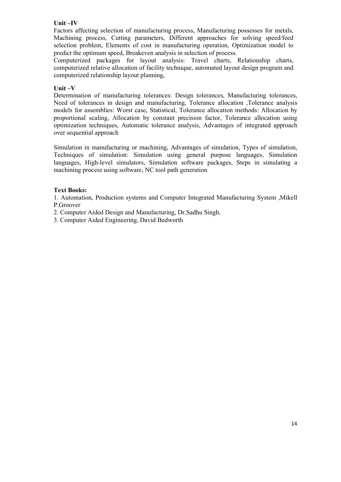#### **Unit –IV**

Factors affecting selection of manufacturing process, Manufacturing possesses for metals, Machining process, Cutting parameters, Different approaches for solving speed/feed selection problem, Elements of cost in manufacturing operation, Optimization model to predict the optimum speed, Breakeven analysis in selection of process.

Computerized packages for layout analysis: Travel charts, Relationship charts, computerized relative allocation of facility technique, automated layout design program and computerized relationship layout planning,

#### **Unit –V**

Determination of manufacturing tolerances: Design tolerances, Manufacturing tolerances, Need of tolerances in design and manufacturing, Tolerance allocation ,Tolerance analysis models for assemblies: Worst case, Statistical, Tolerance allocation methods: Allocation by proportional scaling, Allocation by constant precision factor, Tolerance allocation using optimization techniques, Automatic tolerance analysis, Advantages of integrated approach over sequential approach

Simulation in manufacturing or machining, Advantages of simulation, Types of simulation, Techniques of simulation: Simulation using general purpose languages, Simulation languages, High-level simulators, Simulation software packages, Steps in simulating a machining process using software, NC tool path generation

#### **Text Books:**

1. Automation, Production systems and Computer Integrated Manufacturing System ,Mikell P.Groover

- 2. Computer Aided Design and Manufacturing, Dr.Sadhu Singh.
- 3. Computer Aided Engineering, David Bedworth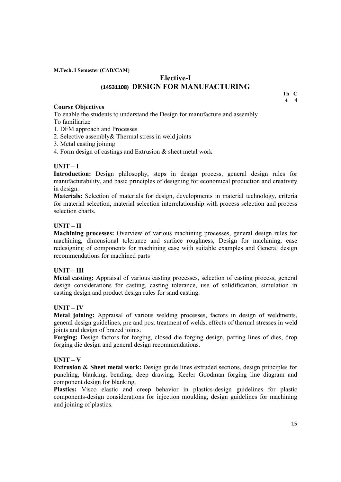**M.Tech. I Semester (CAD/CAM)** 

### **Elective-I (14531108) DESIGN FOR MANUFACTURING**

#### **Course Objectives**

**Th C 4 4** 

To enable the students to understand the Design for manufacture and assembly To familiarize

- 1. DFM approach and Processes
- 2. Selective assembly& Thermal stress in weld joints
- 3. Metal casting joining
- 4. Form design of castings and Extrusion & sheet metal work

#### **UNIT – I**

**Introduction:** Design philosophy, steps in design process, general design rules for manufacturability, and basic principles of designing for economical production and creativity in design.

**Materials:** Selection of materials for design, developments in material technology, criteria for material selection, material selection interrelationship with process selection and process selection charts.

#### **UNIT – II**

**Machining processes:** Overview of various machining processes, general design rules for machining, dimensional tolerance and surface roughness, Design for machining, ease redesigning of components for machining ease with suitable examples and General design recommendations for machined parts

#### **UNIT – III**

**Metal casting:** Appraisal of various casting processes, selection of casting process, general design considerations for casting, casting tolerance, use of solidification, simulation in casting design and product design rules for sand casting.

#### **UNIT – IV**

**Metal joining:** Appraisal of various welding processes, factors in design of weldments, general design guidelines, pre and post treatment of welds, effects of thermal stresses in weld joints and design of brazed joints.

**Forging:** Design factors for forging, closed die forging design, parting lines of dies, drop forging die design and general design recommendations.

#### **UNIT – V**

**Extrusion & Sheet metal work:** Design guide lines extruded sections, design principles for punching, blanking, bending, deep drawing, Keeler Goodman forging line diagram and component design for blanking.

**Plastics:** Visco elastic and creep behavior in plastics-design guidelines for plastic components-design considerations for injection moulding, design guidelines for machining and joining of plastics.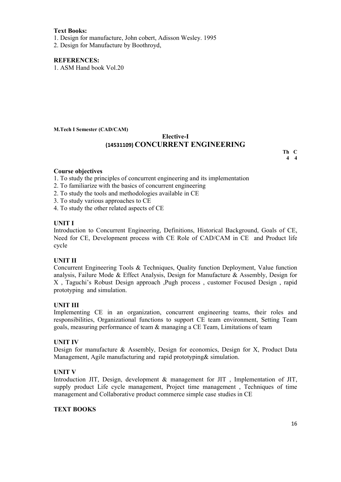#### **Text Books:**

1. Design for manufacture, John cobert, Adisson Wesley. 1995

2. Design for Manufacture by Boothroyd,

#### **REFERENCES:**

1. ASM Hand book Vol.20

**M.Tech I Semester (CAD/CAM)**

#### **Elective-I (14531109) CONCURRENT ENGINEERING**

**Th C 4 4** 

#### **Course objectives**

- 1. To study the principles of concurrent engineering and its implementation
- 2. To familiarize with the basics of concurrent engineering
- 2. To study the tools and methodologies available in CE
- 3. To study various approaches to CE
- 4. To study the other related aspects of CE

#### **UNIT I**

Introduction to Concurrent Engineering, Definitions, Historical Background, Goals of CE, Need for CE, Development process with CE Role of CAD/CAM in CE and Product life cycle

#### **UNIT II**

Concurrent Engineering Tools & Techniques, Quality function Deployment, Value function analysis, Failure Mode & Effect Analysis, Design for Manufacture & Assembly, Design for X , Taguchi's Robust Design approach ,Pugh process , customer Focused Design , rapid prototyping and simulation.

#### **UNIT III**

Implementing CE in an organization, concurrent engineering teams, their roles and responsibilities, Organizational functions to support CE team environment, Setting Team goals, measuring performance of team & managing a CE Team, Limitations of team

#### **UNIT IV**

Design for manufacture & Assembly, Design for economics, Design for X, Product Data Management, Agile manufacturing and rapid prototyping& simulation.

#### **UNIT V**

Introduction JIT, Design, development & management for JIT , Implementation of JIT, supply product Life cycle management, Project time management , Techniques of time management and Collaborative product commerce simple case studies in CE

#### **TEXT BOOKS**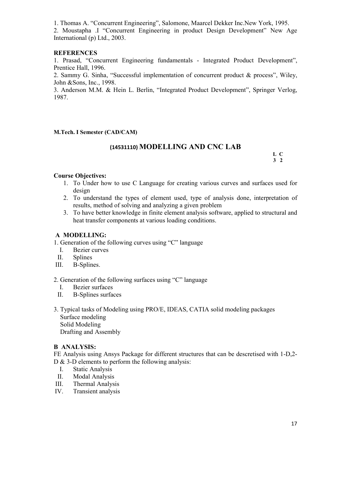1. Thomas A. "Concurrent Engineering", Salomone, Maarcel Dekker Inc.New York, 1995.

2. Moustapha .I "Concurrent Engineering in product Design Development" New Age International (p) Ltd., 2003.

#### **REFERENCES**

1. Prasad, "Concurrent Engineering fundamentals - Integrated Product Development", Prentice Hall, 1996.

2. Sammy G. Sinha, "Successful implementation of concurrent product & process", Wiley, John &Sons, Inc., 1998.

3. Anderson M.M. & Hein L. Berlin, "Integrated Product Development", Springer Verlog, 1987.

**M.Tech. I Semester (CAD/CAM)** 

# **(14531110) MODELLING AND CNC LAB L <sup>C</sup>**

 **3 2**

#### **Course Objectives:**

- 1. To Under how to use C Language for creating various curves and surfaces used for design
- 2. To understand the types of element used, type of analysis done, interpretation of results, method of solving and analyzing a given problem
- 3. To have better knowledge in finite element analysis software, applied to structural and heat transfer components at various loading conditions.

#### **A MODELLING:**

1. Generation of the following curves using "C" language

- I. Bezier curves
- II. Splines
- III. B-Splines.

2. Generation of the following surfaces using "C" language

- I. Bezier surfaces
- II. B-Splines surfaces
- 3. Typical tasks of Modeling using PRO/E, IDEAS, CATIA solid modeling packages Surface modeling Solid Modeling Drafting and Assembly

#### **B ANALYSIS:**

FE Analysis using Ansys Package for different structures that can be descretised with 1-D,2- D & 3-D elements to perform the following analysis:

- I. Static Analysis
- II. Modal Analysis
- III. Thermal Analysis
- IV. Transient analysis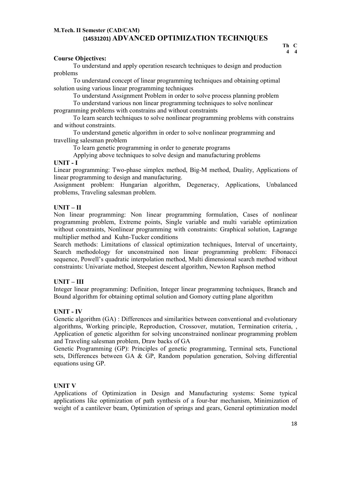#### **M.Tech. II Semester (CAD/CAM) (14531201) ADVANCED OPTIMIZATION TECHNIQUES**

#### **Course Objectives:**

To understand and apply operation research techniques to design and production problems

To understand concept of linear programming techniques and obtaining optimal solution using various linear programming techniques

To understand Assignment Problem in order to solve process planning problem

To understand various non linear programming techniques to solve nonlinear programming problems with constrains and without constraints

To learn search techniques to solve nonlinear programming problems with constrains and without constraints.

To understand genetic algorithm in order to solve nonlinear programming and travelling salesman problem

To learn genetic programming in order to generate programs

Applying above techniques to solve design and manufacturing problems

#### **UNIT - I**

Linear programming: Two-phase simplex method, Big-M method, Duality, Applications of linear programming to design and manufacturing.

Assignment problem: Hungarian algorithm, Degeneracy, Applications, Unbalanced problems, Traveling salesman problem.

#### **UNIT – II**

Non linear programming: Non linear programming formulation, Cases of nonlinear programming problem, Extreme points, Single variable and multi variable optimization without constraints, Nonlinear programming with constraints: Graphical solution, Lagrange multiplier method and Kuhn-Tucker conditions

Search methods: Limitations of classical optimization techniques, Interval of uncertainty, Search methodology for unconstrained non linear programming problem: Fibonacci sequence, Powell's quadratic interpolation method, Multi dimensional search method without constraints: Univariate method, Steepest descent algorithm, Newton Raphson method

#### **UNIT – III**

Integer linear programming: Definition, Integer linear programming techniques, Branch and Bound algorithm for obtaining optimal solution and Gomory cutting plane algorithm

#### **UNIT - IV**

Genetic algorithm (GA) : Differences and similarities between conventional and evolutionary algorithms, Working principle, Reproduction, Crossover, mutation, Termination criteria, , Application of genetic algorithm for solving unconstrained nonlinear programming problem and Traveling salesman problem, Draw backs of GA

Genetic Programming (GP): Principles of genetic programming, Terminal sets, Functional sets, Differences between GA & GP, Random population generation, Solving differential equations using GP.

#### **UNIT V**

Applications of Optimization in Design and Manufacturing systems: Some typical applications like optimization of path synthesis of a four-bar mechanism, Minimization of weight of a cantilever beam, Optimization of springs and gears, General optimization model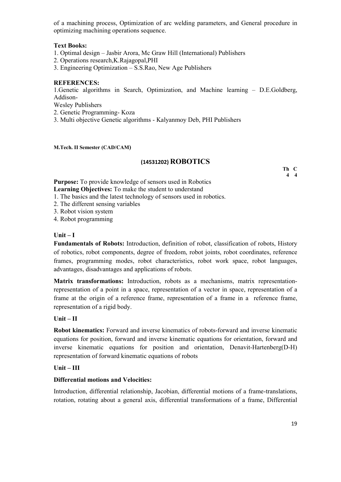of a machining process, Optimization of arc welding parameters, and General procedure in optimizing machining operations sequence.

#### **Text Books:**

1. Optimal design – Jasbir Arora, Mc Graw Hill (International) Publishers

2. Operations research,K.Rajagopal,PHI

3. Engineering Optimization – S.S.Rao, New Age Publishers

#### **REFERENCES:**

1.Genetic algorithms in Search, Optimization, and Machine learning – D.E.Goldberg, Addison-

Wesley Publishers

2. Genetic Programming- Koza

3. Multi objective Genetic algorithms - Kalyanmoy Deb, PHI Publishers

#### **M.Tech. II Semester (CAD/CAM)**

#### **(14531202) ROBOTICS**

**Th C 4 4** 

**Purpose:** To provide knowledge of sensors used in Robotics **Learning Objectives:** To make the student to understand

1. The basics and the latest technology of sensors used in robotics.

2. The different sensing variables

3. Robot vision system

4. Robot programming

#### **Unit – I**

**Fundamentals of Robots:** Introduction, definition of robot, classification of robots, History of robotics, robot components, degree of freedom, robot joints, robot coordinates, reference frames, programming modes, robot characteristics, robot work space, robot languages, advantages, disadvantages and applications of robots.

**Matrix transformations:** Introduction, robots as a mechanisms, matrix representationrepresentation of a point in a space, representation of a vector in space, representation of a frame at the origin of a reference frame, representation of a frame in a reference frame, representation of a rigid body.

#### **Unit – II**

**Robot kinematics:** Forward and inverse kinematics of robots-forward and inverse kinematic equations for position, forward and inverse kinematic equations for orientation, forward and inverse kinematic equations for position and orientation, Denavit-Hartenberg(D-H) representation of forward kinematic equations of robots

#### **Unit – III**

#### **Differential motions and Velocities:**

Introduction, differential relationship, Jacobian, differential motions of a frame-translations, rotation, rotating about a general axis, differential transformations of a frame, Differential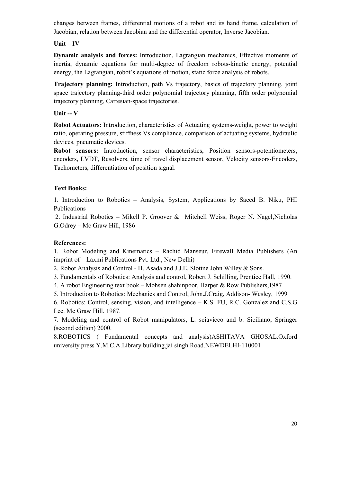changes between frames, differential motions of a robot and its hand frame, calculation of Jacobian, relation between Jacobian and the differential operator, Inverse Jacobian.

#### **Unit – IV**

**Dynamic analysis and forces:** Introduction, Lagrangian mechanics, Effective moments of inertia, dynamic equations for multi-degree of freedom robots-kinetic energy, potential energy, the Lagrangian, robot's equations of motion, static force analysis of robots.

**Trajectory planning:** Introduction, path Vs trajectory, basics of trajectory planning, joint space trajectory planning-third order polynomial trajectory planning, fifth order polynomial trajectory planning, Cartesian-space trajectories.

#### **Unit -- V**

**Robot Actuators:** Introduction, characteristics of Actuating systems-weight, power to weight ratio, operating pressure, stiffness Vs compliance, comparison of actuating systems, hydraulic devices, pneumatic devices.

**Robot sensors:** Introduction, sensor characteristics, Position sensors-potentiometers, encoders, LVDT, Resolvers, time of travel displacement sensor, Velocity sensors-Encoders, Tachometers, differentiation of position signal.

#### **Text Books:**

1. Introduction to Robotics – Analysis, System, Applications by Saeed B. Niku, PHI Publications

2. Industrial Robotics – Mikell P. Groover & Mitchell Weiss, Roger N. Nagel,Nicholas G.Odrey – Mc Graw Hill, 1986

#### **References:**

1. Robot Modeling and Kinematics – Rachid Manseur, Firewall Media Publishers (An imprint of Laxmi Publications Pvt. Ltd., New Delhi)

2. Robot Analysis and Control - H. Asada and J.J.E. Slotine John Willey & Sons.

3. Fundamentals of Robotics: Analysis and control, Robert J. Schilling, Prentice Hall, 1990.

4. A robot Engineering text book – Mohsen shahinpoor, Harper & Row Publishers,1987

5. Introduction to Robotics: Mechanics and Control, John.J.Craig, Addison- Wesley, 1999

6. Robotics: Control, sensing, vision, and intelligence – K.S. FU, R.C. Gonzalez and C.S.G Lee. Mc Graw Hill, 1987.

7. Modeling and control of Robot manipulators, L. sciavicco and b. Siciliano, Springer (second edition) 2000.

8.ROBOTICS ( Fundamental concepts and analysis)ASHITAVA GHOSAL.Oxford university press Y.M.C.A.Library building.jai singh Road.NEWDELHI-110001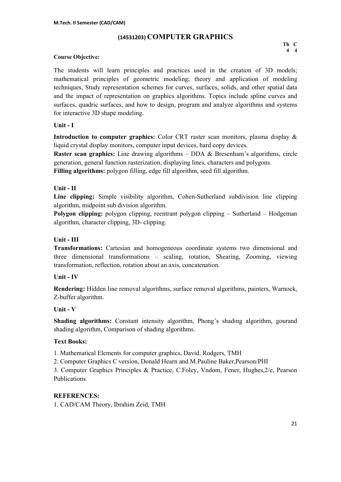## **(14531203) COMPUTER GRAPHICS Th C**

#### **Course Objective:**

The students will learn principles and practices used in the creation of 3D models; mathematical principles of geometric modeling; theory and application of modeling techniques, Study representation schemes for curves, surfaces, solids, and other spatial data and the impact of representation on graphics algorithms. Topics include spline curves and surfaces, quadric surfaces, and how to design, program and analyze algorithms and systems for interactive 3D shape modeling.

#### **Unit - I**

**Introduction to computer graphics:** Color CRT raster scan monitors, plasma display & liquid crystal display monitors, computer input devices, hard copy devices.

**Raster scan graphics:** Line drawing algorithms – DDA & Bresenham's algorithms, circle generation, general function rasterization, displaying lines, characters and polygons.

**Filling algorithms:** polygon filling, edge fill algorithm, seed fill algorithm.

#### **Unit - II**

**Line clipping:** Simple visibility algorithm, Cohen-Sutherland subdivision line clipping algorithm, midpoint sub division algorithm.

**Polygon clipping:** polygon clipping, reentrant polygon clipping – Sutherland – Hodgeman algorithm, character clipping, 3D- clipping.

#### **Unit - III**

**Transformations:** Cartesian and homogeneous coordinate systems two dimensional and three dimensional transformations – scaling, rotation, Shearing, Zooming, viewing transformation, reflection, rotation about an axis, concatenation.

#### **Unit - IV**

**Rendering:** Hidden line removal algorithms, surface removal algorithms, painters, Warnock, Z-buffer algorithm.

#### **Unit - V**

**Shading algorithms:** Constant intensity algorithm, Phong's shading algorithm, gourand shading algorithm, Comparison of shading algorithms.

#### **Text Books:**

1. Mathematical Elements for computer graphics, David. Rodgers, TMH

2. Computer Graphics C version, Donald Hearn and M.Pauline Baker,Pearson/PHI

3. Computer Graphics Principles & Practice, C.Foley, Vndom, Fener, Hughes,2/e, Pearson Publications.

#### **REFERENCES:**

1. CAD/CAM Theory, Ibrahim Zeid, TMH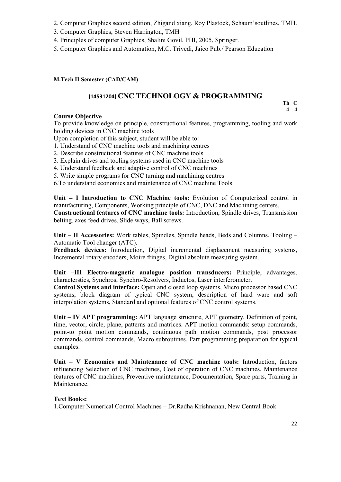- 2. Computer Graphics second edition, Zhigand xiang, Roy Plastock, Schaum'soutlines, TMH.
- 3. Computer Graphics, Steven Harrington, TMH
- 4. Principles of computer Graphics, Shalini Govil, PHI, 2005, Springer.
- 5. Computer Graphics and Automation, M.C. Trivedi, Jaico Pub./ Pearson Education

#### **M.Tech II Semester (CAD/CAM)**

# **(14531204) CNC TECHNOLOGY & PROGRAMMING Th C**

**4 4**

#### **Course Objective**

To provide knowledge on principle, constructional features, programming, tooling and work holding devices in CNC machine tools

Upon completion of this subject, student will be able to:

- 1. Understand of CNC machine tools and machining centres
- 2. Describe constructional features of CNC machine tools
- 3. Explain drives and tooling systems used in CNC machine tools
- 4. Understand feedback and adaptive control of CNC machines
- 5. Write simple programs for CNC turning and machining centres

6.To understand economics and maintenance of CNC machine Tools

**Unit – I Introduction to CNC Machine tools:** Evolution of Computerized control in manufacturing, Components, Working principle of CNC, DNC and Machining centers.

**Constructional features of CNC machine tools:** Introduction, Spindle drives, Transmission belting, axes feed drives, Slide ways, Ball screws.

**Unit – II Accessories:** Work tables, Spindles, Spindle heads, Beds and Columns, Tooling – Automatic Tool changer (ATC).

**Feedback devices:** Introduction, Digital incremental displacement measuring systems, Incremental rotary encoders, Moire fringes, Digital absolute measuring system.

#### **Unit –III Electro-magnetic analogue position transducers:** Principle, advantages, characterstics, Synchros, Synchro-Resolvers, Inductos, Laser interferometer.

**Control Systems and interface:** Open and closed loop systems, Micro processor based CNC systems, block diagram of typical CNC system, description of hard ware and soft interpolation systems, Standard and optional features of CNC control systems.

**Unit – IV APT programming:** APT language structure, APT geometry, Definition of point, time, vector, circle, plane, patterns and matrices. APT motion commands: setup commands, point-to point motion commands, continuous path motion commands, post processor commands, control commands, Macro subroutines, Part programming preparation for typical examples.

**Unit – V Economics and Maintenance of CNC machine tools:** Introduction, factors influencing Selection of CNC machines, Cost of operation of CNC machines, Maintenance features of CNC machines, Preventive maintenance, Documentation, Spare parts, Training in Maintenance.

#### **Text Books:**

1.Computer Numerical Control Machines – Dr.Radha Krishnanan, New Central Book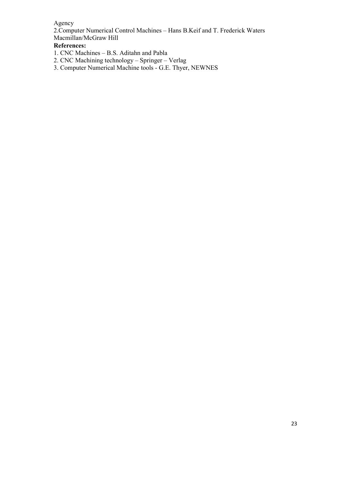#### Agency

2.Computer Numerical Control Machines – Hans B.Keif and T. Frederick Waters Macmillan/McGraw Hill

#### **References:**

- 1. CNC Machines B.S. Aditahn and Pabla
- 2. CNC Machining technology Springer Verlag

3. Computer Numerical Machine tools - G.E. Thyer, NEWNES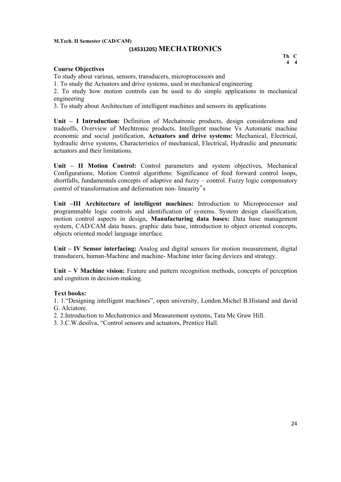# **(14531205) MECHATRONICS Th C**

#### **Course Objectives**

To study about various, sensors, transducers, microprocessors and

1. To study the Actuators and drive systems, used in mechanical engineering

2. To study how motion controls can be used to do simple applications in mechanical engineering

3. To study about Architecture of intelligent machines and sensors its applications

**Unit – I Introduction:** Definition of Mechatronic products, design considerations and tradeoffs, Overview of Mechtronic products. Intelligent machine Vs Automatic machine economic and social justification, **Actuators and drive systems:** Mechanical, Electrical, hydraulic drive systems, Characteristics of mechanical, Electrical, Hydraulic and pneumatic actuators and their limitations.

**Unit – II Motion Control:** Control parameters and system objectives, Mechanical Configurations, Motion Control algorithms: Significance of feed forward control loops, shortfalls, fundamentals concepts of adaptive and fuzzy – control. Fuzzy logic compensatory control of transformation and deformation non- linearity"s

**Unit –III Architecture of intelligent machines:** Introduction to Microprocessor and programmable logic controls and identification of systems. System design classification, motion control aspects in design, **Manufacturing data bases:** Data base management system, CAD/CAM data bases, graphic data base, introduction to object oriented concepts, objects oriented model language interface.

**Unit – IV Sensor interfacing:** Analog and digital sensors for motion measurement, digital transducers, human-Machine and machine- Machine inter facing devices and strategy.

**Unit – V Machine vision:** Feature and pattern recognition methods, concepts of perception and cognition in decision-making.

#### **Text books:**

1. 1."Designing intelligent machines", open university, London.Michel B.Histand and david G. Alciatore.

2. 2.Introduction to Mechatronics and Measurement systems, Tata Mc Graw Hill.

3. 3.C.W.desilva, "Control sensors and actuators, Prentice Hall.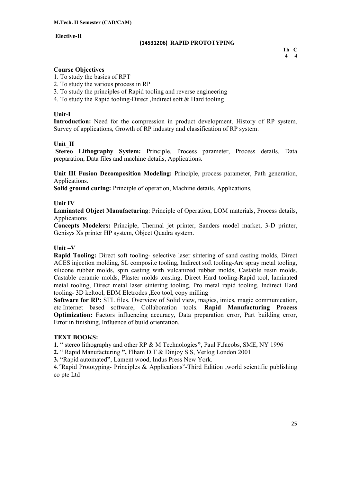#### **Elective-II**

## **(14531206) RAPID PROTOTYPING Th C**

**4 4** 

#### **Course Objectives**

- 1. To study the basics of RPT
- 2. To study the various process in RP
- 3. To study the principles of Rapid tooling and reverse engineering
- 4. To study the Rapid tooling-Direct ,Indirect soft & Hard tooling

#### **Unit-I**

**Introduction:** Need for the compression in product development, History of RP system, Survey of applications, Growth of RP industry and classification of RP system.

#### **Unit\_II**

**Stereo Lithography System:** Principle, Process parameter, Process details, Data preparation, Data files and machine details, Applications.

**Unit III Fusion Decomposition Modeling:** Principle, process parameter, Path generation, Applications.

**Solid ground curing:** Principle of operation, Machine details, Applications,

#### **Unit IV**

**Laminated Object Manufacturing**: Principle of Operation, LOM materials, Process details, Applications

**Concepts Modelers:** Principle, Thermal jet printer, Sanders model market, 3-D printer, Genisys Xs printer HP system, Object Quadra system.

#### **Unit –V**

**Rapid Tooling:** Direct soft tooling- selective laser sintering of sand casting molds, Direct ACES injection molding, SL composite tooling, Indirect soft tooling-Arc spray metal tooling, silicone rubber molds, spin casting with vulcanized rubber molds, Castable resin molds, Castable ceramic molds, Plaster molds ,casting, Direct Hard tooling-Rapid tool, laminated metal tooling, Direct metal laser sintering tooling, Pro metal rapid tooling, Indirect Hard tooling- 3D keltool, EDM Eletrodes ,Eco tool, copy milling

**Software for RP:** STL files, Overview of Solid view, magics, imics, magic communication, etc.Internet based software, Collaboration tools. **Rapid Manufacturing Process Optimization:** Factors influencing accuracy, Data preparation error, Part building error, Error in finishing, Influence of build orientation.

#### **TEXT BOOKS:**

**1.** " stereo lithography and other RP & M Technologies**"**, Paul F.Jacobs, SME, NY 1996

**2.** " Rapid Manufacturing **",** Flham D.T & Dinjoy S.S, Verlog London 2001

**3.** "Rapid automated**"**, Lament wood, Indus Press New York.

4."Rapid Prototyping- Principles & Applications"-Third Edition ,world scientific publishing co pte Ltd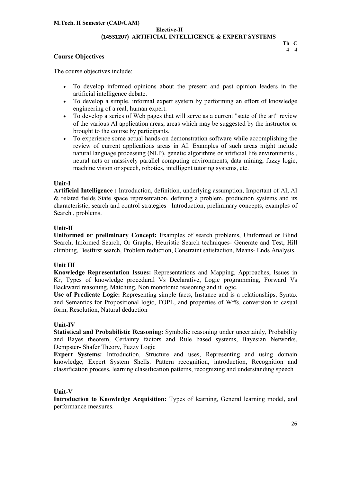### **Elective-II (14531207) ARTIFICIAL INTELLIGENCE & EXPERT SYSTEMS Th C**

#### **Course Objectives**

The course objectives include:

- To develop informed opinions about the present and past opinion leaders in the artificial intelligence debate.
- To develop a simple, informal expert system by performing an effort of knowledge engineering of a real, human expert.
- To develop a series of Web pages that will serve as a current "state of the art" review of the various AI application areas, areas which may be suggested by the instructor or brought to the course by participants.
- To experience some actual hands-on demonstration software while accomplishing the review of current applications areas in AI. Examples of such areas might include natural language processing (NLP), genetic algorithms or artificial life environments , neural nets or massively parallel computing environments, data mining, fuzzy logic, machine vision or speech, robotics, intelligent tutoring systems, etc.

#### **Unit-I**

**Artificial Intelligence :** Introduction, definition, underlying assumption, Important of Al, Al & related fields State space representation, defining a problem, production systems and its characteristic, search and control strategies –Introduction, preliminary concepts, examples of Search , problems.

#### **Unit-II**

**Uniformed or preliminary Concept:** Examples of search problems, Uniformed or Blind Search, Informed Search, Or Graphs, Heuristic Search techniques- Generate and Test, Hill climbing, Bestfirst search, Problem reduction, Constraint satisfaction, Means- Ends Analysis.

#### **Unit III**

**Knowledge Representation Issues:** Representations and Mapping, Approaches, Issues in Kr, Types of knowledge procedural Vs Declarative, Logic programming, Forward Vs Backward reasoning, Matching, Non monotonic reasoning and it logic.

**Use of Predicate Logic:** Representing simple facts, Instance and is a relationships, Syntax and Semantics for Propositional logic, FOPL, and properties of Wffs, conversion to casual form, Resolution, Natural deduction

#### **Unit-IV**

**Statistical and Probabilistic Reasoning:** Symbolic reasoning under uncertainly, Probability and Bayes theorem, Certainty factors and Rule based systems, Bayesian Networks, Dempster- Shafer Theory, Fuzzy Logic

**Expert Systems:** Introduction, Structure and uses, Representing and using domain knowledge, Expert System Shells. Pattern recognition, introduction, Recognition and classification process, learning classification patterns, recognizing and understanding speech

#### **Unit-V**

**Introduction to Knowledge Acquisition:** Types of learning, General learning model, and performance measures.

**4 4**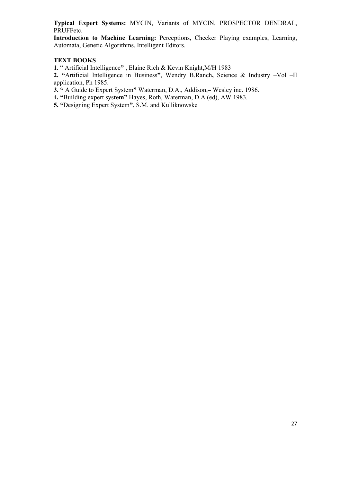**Typical Expert Systems:** MYCIN, Variants of MYCIN, PROSPECTOR DENDRAL, PRUFFetc.

**Introduction to Machine Learning:** Perceptions, Checker Playing examples, Learning, Automata, Genetic Algorithms, Intelligent Editors.

#### **TEXT BOOKS**

**1.** " Artificial Intelligence**"** , Elaine Rich & Kevin Knight**,**M/H 1983

**2. "**Artificial Intelligence in Business**"**, Wendry B.Ranch**,** Science & Industry –Vol –II application, Ph 1985.

**3. "** A Guide to Expert System**"** Waterman, D.A., Addison,**–** Wesley inc. 1986.

**4. "**Building expert sys**tem"** Hayes, Roth, Waterman, D.A (ed), AW 1983.

**5. "**Designing Expert System**"**, S.M. and Kulliknowske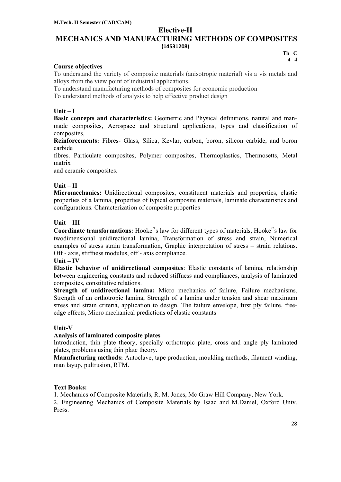#### **Elective-II**

#### **MECHANICS AND MANUFACTURING METHODS OF COMPOSITES (14531208) Th C**

#### **Course objectives**

To understand the variety of composite materials (anisotropic material) vis a vis metals and alloys from the view point of industrial applications.

To understand manufacturing methods of composites for economic production

To understand methods of analysis to help effective product design

#### **Unit – I**

**Basic concepts and characteristics:** Geometric and Physical definitions, natural and manmade composites, Aerospace and structural applications, types and classification of composites,

**Reinforcements:** Fibres- Glass, Silica, Kevlar, carbon, boron, silicon carbide, and boron carbide

fibres. Particulate composites, Polymer composites, Thermoplastics, Thermosetts, Metal matrix

and ceramic composites.

#### **Unit – II**

**Micromechanics:** Unidirectional composites, constituent materials and properties, elastic properties of a lamina, properties of typical composite materials, laminate characteristics and configurations. Characterization of composite properties

#### **Unit – III**

**Coordinate transformations:** Hooke"s law for different types of materials, Hooke"s law for twodimensional unidirectional lamina, Transformation of stress and strain, Numerical examples of stress strain transformation, Graphic interpretation of stress – strain relations. Off - axis, stiffness modulus, off - axis compliance.

**Unit – IV**

**Elastic behavior of unidirectional composites**: Elastic constants of lamina, relationship between engineering constants and reduced stiffness and compliances, analysis of laminated composites, constitutive relations.

**Strength of unidirectional lamina:** Micro mechanics of failure, Failure mechanisms, Strength of an orthotropic lamina, Strength of a lamina under tension and shear maximum stress and strain criteria, application to design. The failure envelope, first ply failure, freeedge effects, Micro mechanical predictions of elastic constants

#### **Unit-V**

#### **Analysis of laminated composite plates**

Introduction, thin plate theory, specially orthotropic plate, cross and angle ply laminated plates, problems using thin plate theory.

**Manufacturing methods:** Autoclave, tape production, moulding methods, filament winding, man layup, pultrusion, RTM.

#### **Text Books:**

1. Mechanics of Composite Materials, R. M. Jones, Mc Graw Hill Company, New York.

2. Engineering Mechanics of Composite Materials by Isaac and M.Daniel, Oxford Univ. Press.

**4 4**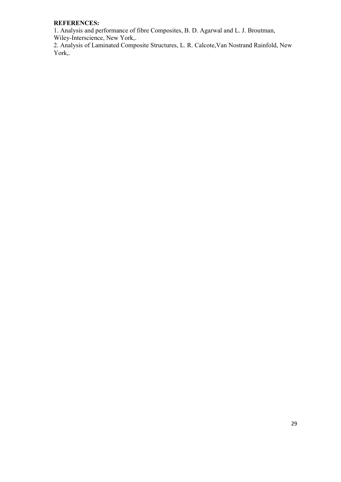#### **REFERENCES:**

1. Analysis and performance of fibre Composites, B. D. Agarwal and L. J. Broutman, Wiley-Interscience, New York,.

2. Analysis of Laminated Composite Structures, L. R. Calcote,Van Nostrand Rainfold, New York,.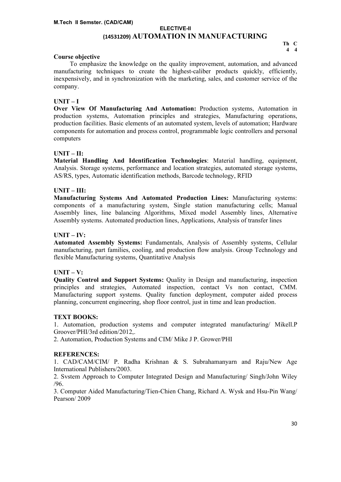### **ELECTIVE-II (14531209) AUTOMATION IN MANUFACTURING Th C**

#### **Course objective**

#### **UNIT – I**

**Over View Of Manufacturing And Automation:** Production systems, Automation in production systems, Automation principles and strategies, Manufacturing operations, production facilities. Basic elements of an automated system, levels of automation; Hardware components for automation and process control, programmable logic controllers and personal computers

#### **UNIT – II:**

**Material Handling And Identification Technologies**: Material handling, equipment, Analysis. Storage systems, performance and location strategies, automated storage systems, AS/RS, types, Automatic identification methods, Barcode technology, RFID

#### **UNIT – III:**

**Manufacturing Systems And Automated Production Lines:** Manufacturing systems: components of a manufacturing system, Single station manufacturing cells; Manual Assembly lines, line balancing Algorithms, Mixed model Assembly lines, Alternative Assembly systems. Automated production lines, Applications, Analysis of transfer lines

#### **UNIT – IV:**

**Automated Assembly Systems:** Fundamentals, Analysis of Assembly systems, Cellular manufacturing, part families, cooling, and production flow analysis. Group Technology and flexible Manufacturing systems, Quantitative Analysis

#### **UNIT – V:**

**Quality Control and Support Systems:** Quality in Design and manufacturing, inspection principles and strategies, Automated inspection, contact Vs non contact, CMM. Manufacturing support systems. Quality function deployment, computer aided process planning, concurrent engineering, shop floor control, just in time and lean production.

#### **TEXT BOOKS:**

1. Automation, production systems and computer integrated manufacturing/ Mikell.P Groover/PHI/3rd edition/2012,.

2. Automation, Production Systems and CIM/ Mike J P. Grower/PHI

#### **REFERENCES:**

1. CAD/CAM/CIM/ P. Radha Krishnan & S. Subrahamanyarn and Raju/New Age International Publishers/2003.

2. Svstem Approach to Computer Integrated Design and Manufacturing/ Singh/John Wiley /96.

3. Computer Aided Manufacturing/Tien-Chien Chang, Richard A. Wysk and Hsu-Pin Wang/ Pearson/ 2009

**4 4**